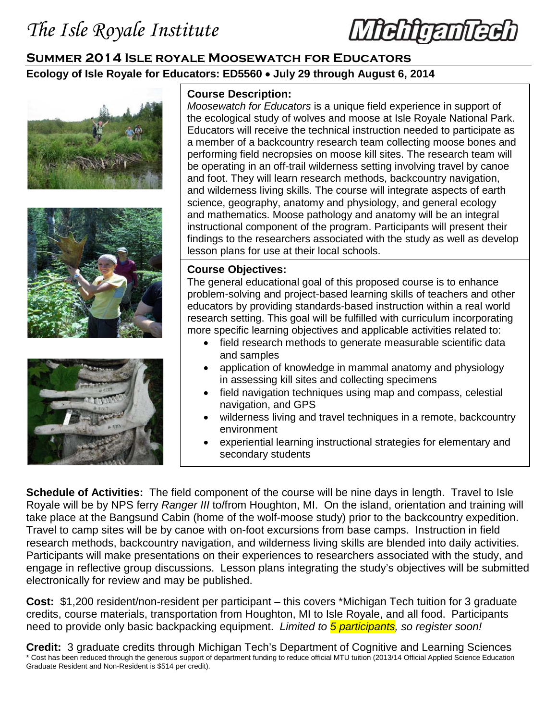*literini* 

## **Summer 2014 Isle royale Moosewatch for Educators Ecology of Isle Royale for Educators: ED5560** • **July 29 through August 6, 2014**







## **Course Description:**

*Moosewatch for Educators* is a unique field experience in support of the ecological study of wolves and moose at Isle Royale National Park. Educators will receive the technical instruction needed to participate as a member of a backcountry research team collecting moose bones and performing field necropsies on moose kill sites. The research team will be operating in an off-trail wilderness setting involving travel by canoe and foot. They will learn research methods, backcountry navigation, and wilderness living skills. The course will integrate aspects of earth science, geography, anatomy and physiology, and general ecology and mathematics. Moose pathology and anatomy will be an integral instructional component of the program. Participants will present their findings to the researchers associated with the study as well as develop lesson plans for use at their local schools.

## **Course Objectives:**

The general educational goal of this proposed course is to enhance problem-solving and project-based learning skills of teachers and other educators by providing standards-based instruction within a real world research setting. This goal will be fulfilled with curriculum incorporating more specific learning objectives and applicable activities related to:

- field research methods to generate measurable scientific data and samples
- application of knowledge in mammal anatomy and physiology in assessing kill sites and collecting specimens
- field navigation techniques using map and compass, celestial navigation, and GPS
- wilderness living and travel techniques in a remote, backcountry environment
- experiential learning instructional strategies for elementary and secondary students

**Schedule of Activities:** The field component of the course will be nine days in length. Travel to Isle Royale will be by NPS ferry *Ranger III* to/from Houghton, MI. On the island, orientation and training will take place at the Bangsund Cabin (home of the wolf-moose study) prior to the backcountry expedition. Travel to camp sites will be by canoe with on-foot excursions from base camps. Instruction in field research methods, backcountry navigation, and wilderness living skills are blended into daily activities. Participants will make presentations on their experiences to researchers associated with the study, and engage in reflective group discussions. Lesson plans integrating the study's objectives will be submitted electronically for review and may be published.

**Cost:** \$1,200 resident/non-resident per participant – this covers \*Michigan Tech tuition for 3 graduate credits, course materials, transportation from Houghton, MI to Isle Royale, and all food. Participants need to provide only basic backpacking equipment. *Limited to 5 participants, so register soon!*

**Credit:** 3 graduate credits through Michigan Tech's Department of Cognitive and Learning Sciences \* Cost has been reduced through the generous support of department funding to reduce official MTU tuition (2013/14 Official Applied Science Education Graduate Resident and Non-Resident is \$514 per credit).